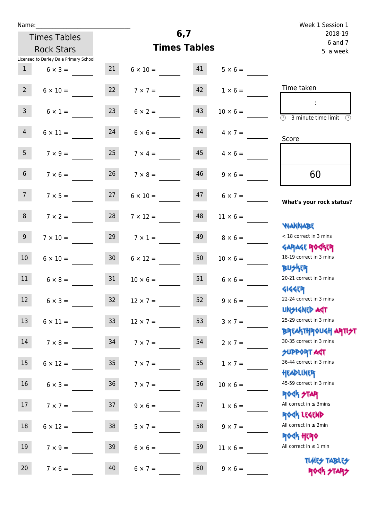|  | Name: |  |
|--|-------|--|
|  |       |  |

| Name:           |                                        |    |                                     | 6,7                 |                      | Week 1 Session 1                                      |
|-----------------|----------------------------------------|----|-------------------------------------|---------------------|----------------------|-------------------------------------------------------|
|                 | <b>Times Tables</b>                    |    |                                     | 2018-19<br>6 and 7  |                      |                                                       |
|                 | <b>Rock Stars</b>                      |    |                                     | <b>Times Tables</b> |                      | 5 a week                                              |
|                 | Licensed to Darley Dale Primary School |    |                                     |                     |                      |                                                       |
| 1               | $6 \times 3 =$                         | 21 | $6 \times 10 = 41$                  |                     | $5 \times 6 =$       |                                                       |
| $2^{\circ}$     | $6 \times 10 =$                        | 22 | $7 \times 7 =$                      | 42                  | $1 \times 6 =$       | Time taken                                            |
| 3 <sup>7</sup>  | $6 \times 1 =$                         | 23 | $6 \times 2 =$                      | 43                  | $10 \times 6 =$      | $\sim 10$<br>3 minute time limit<br>$\mathcal{O}$     |
| 4               | $6 \times 11 =$                        | 24 | $6 \times 6 =$                      | 44                  | $4 \times 7 =$       | Score                                                 |
| 5 <sub>1</sub>  | $7 \times 9 =$                         | 25 | $7 \times 4 =$                      | 45                  | $4 \times 6 =$       |                                                       |
| 6 <sup>1</sup>  | $7 \times 6 =$                         | 26 | $7 \times 8 =$                      | 46                  | $9 \times 6 =$       | 60                                                    |
| 7 <sup>7</sup>  |                                        |    | $7 \times 5 = 27$ $6 \times 10 = 7$ |                     | $47 \t 6 \times 7 =$ | What's your rock status?                              |
| 8               | $7 \times 2 =$                         | 28 | $7 \times 12 =$                     | 48                  | $11 \times 6 =$      | <b>NANNABE</b>                                        |
| 9 <sub>o</sub>  | $7 \times 10 =$                        | 29 | $7 \times 1 =$                      | 49                  | $8 \times 6 =$       | < 18 correct in 3 mins<br><b>GARAGE ROGKER</b>        |
| 10 <sup>1</sup> | $6 \times 10 = 30$                     |    | $6 \times 12 =$                     | 50                  | $10 \times 6 =$      | 18-19 correct in 3 mins<br><b>BUSKER</b>              |
| 11              | $6 \times 8 =$                         | 31 | $10 \times 6 =$                     | 51                  | $6 \times 6 =$       | 20-21 correct in 3 mins<br><b>4144EP</b>              |
| 12              | $6 \times 3 =$                         | 32 | $12 \times 7 =$                     | 52                  | $9 \times 6 =$       | 22-24 correct in 3 mins<br><b>UNSIGNED AGT</b>        |
| 13              | $6 \times 11 =$ 33                     |    | $12 \times 7 =$                     | 53                  | $3 \times 7 =$       | 25-29 correct in 3 mins<br><b>BREAKTHROUGH ARTIST</b> |
| 14              | $7 \times 8 =$                         | 34 | $7 \times 7 =$                      | 54                  | $2 \times 7 =$       | 30-35 correct in 3 mins<br><b>SUPPORT AGT</b>         |
| 15 <sub>1</sub> | $6 \times 12 =$                        | 35 | $7 \times 7 =$                      | 55                  | $1 \times 7 =$       | 36-44 correct in 3 mins<br>HEADLINER                  |
| 16 <sup>1</sup> | $6 \times 3 = 36$                      |    | $7 \times 7 =$                      | 56                  | $10 \times 6 =$      | 45-59 correct in 3 mins<br><b>ROCK STAR</b>           |
| 17 <sup>7</sup> | $7 \times 7 =$                         | 37 | $9 \times 6 =$                      | 57                  | $1 \times 6 =$       | All correct in $\leq$ 3mins<br>ROCK LEGEND            |
| 18              | $6 \times 12 =$                        | 38 | $5 \times 7 =$                      | 58                  | $9 \times 7 =$       | All correct in $\leq 2$ min                           |
| 19              | $7 \times 9 =$                         | 39 | $6 \times 6 =$                      | 59                  | $11 \times 6 =$      | <b>ROCK HERO</b><br>All correct in $\leq 1$ min       |
| 20              | $7 \times 6 =$                         | 40 | $6 \times 7 =$                      | 60                  | $9 \times 6 =$       | <b>TUARS TABLES</b><br>ROCK STARS                     |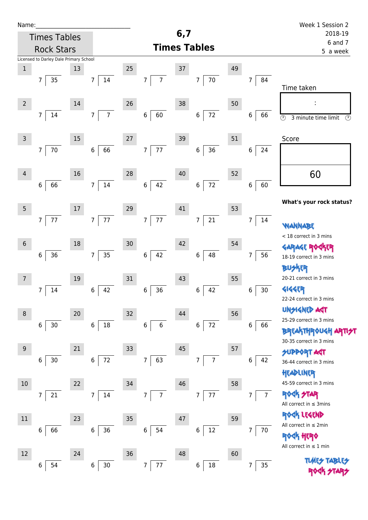| Name:           |                                        |    |                                  |                  |                     |                          |    |                      | Week 1 Session 2                                           |
|-----------------|----------------------------------------|----|----------------------------------|------------------|---------------------|--------------------------|----|----------------------|------------------------------------------------------------|
|                 | <b>Times Tables</b>                    |    |                                  |                  | 6,7                 |                          |    |                      | 2018-19<br>6 and 7                                         |
|                 | <b>Rock Stars</b>                      |    |                                  |                  | <b>Times Tables</b> |                          |    |                      | 5 a week                                                   |
|                 | Licensed to Darley Dale Primary School |    |                                  |                  |                     |                          |    |                      |                                                            |
| $\mathbf{1}$    |                                        | 13 |                                  | 25               | $37\,$              |                          | 49 |                      |                                                            |
|                 | 35<br>7                                |    | 14<br>7 <sup>1</sup>             | $\overline{7}$   | $\overline{7}$      | $70\,$<br>$\overline{7}$ |    | $\overline{7}$<br>84 | Time taken                                                 |
| $\overline{2}$  |                                        | 14 |                                  | 26               | 38                  |                          | 50 |                      |                                                            |
|                 | $\overline{7}$<br>14                   |    | $\overline{7}$<br>$\overline{7}$ | $\,$ 6 $\,$      | 60                  | 72<br>$\,6$              |    | 6<br>66              | $\overline{\odot}$<br>3 minute time limit<br>$\circled{r}$ |
| $\mathsf{3}$    |                                        | 15 |                                  | 27               | 39                  |                          | 51 |                      | Score                                                      |
|                 | $\overline{7}$<br>70                   |    | 66<br>6 <sup>1</sup>             | $\boldsymbol{7}$ | 77                  | $36\,$<br>$\,6\,$        |    | $6\,$                |                                                            |
| 4               |                                        | 16 |                                  | 28               | 40                  |                          | 52 |                      | 60                                                         |
|                 | $\,6\,$<br>66                          |    | 14<br>7 <sup>1</sup>             | $\boldsymbol{6}$ | 42                  | $72\,$<br>$\,6$          |    | 60<br>6              |                                                            |
| $5\phantom{.0}$ |                                        | 17 |                                  | 29               | 41                  |                          | 53 |                      | What's your rock status?                                   |
|                 | 77<br>$\overline{7}$                   |    | 77<br>7 <sup>1</sup>             | $\overline{7}$   | 77                  | $21\,$<br>$\overline{7}$ |    | 14<br>$\overline{7}$ | <b>WANN</b>                                                |
|                 |                                        |    |                                  |                  |                     |                          |    |                      | < 18 correct in 3 mins                                     |
| $\sqrt{6}$      |                                        | 18 |                                  | 30               | 42                  |                          | 54 |                      | <b>GARAGE ROCKER</b>                                       |
|                 | 6<br>36                                |    | 35<br>7 <sup>1</sup>             | $\bf 6$          | 42                  | 48<br>$\,6$              |    | 56<br>7              | 18-19 correct in 3 mins                                    |
|                 |                                        |    |                                  |                  |                     |                          |    |                      | <b>BUSKER</b>                                              |
| $7\overline{ }$ |                                        | 19 |                                  | 31               | 43                  |                          | 55 |                      | 20-21 correct in 3 mins                                    |
|                 | 14<br>7                                |    | 42<br>$\,6\,$                    | 6                | 36                  | 42<br>6                  |    | 30 <sub>o</sub><br>6 | <b>4144EP</b>                                              |
|                 |                                        |    |                                  |                  |                     |                          |    |                      | 22-24 correct in 3 mins                                    |
| $\,8\,$         |                                        | 20 |                                  | 32               | 44                  |                          | 56 |                      | <b>UNGIGNED AST</b><br>25-29 correct in 3 mins             |
|                 | $30$<br>$\,6$                          |    | $18\,$<br>$\boldsymbol{6}$       | 6                | 6                   | 72<br>6                  |    | 6<br>66              | <b>BREAKTHROUGH</b>                                        |
|                 |                                        |    |                                  |                  |                     |                          |    |                      | 30-35 correct in 3 mins                                    |
| $9\,$           |                                        | 21 |                                  | 33               | 45                  |                          | 57 |                      | <b>SUPPORT AGT</b>                                         |
|                 | $30$<br>6                              |    | 72<br>6                          | 7                | 63                  | $\overline{7}$<br>7      |    | 42<br>6              | 36-44 correct in 3 mins                                    |
|                 |                                        |    |                                  |                  |                     |                          |    |                      | HEADLINER                                                  |
| 10              |                                        | 22 |                                  | 34               | 46                  |                          | 58 |                      | 45-59 correct in 3 mins                                    |
|                 | 21<br>7                                |    | 14<br>$\overline{7}$             | 7                | $\overline{7}$      | $77\,$<br>7              |    | $\overline{7}$<br>7  | 外M<br><b>R</b><br>All correct in $\leq$ 3mins              |
|                 |                                        |    |                                  |                  |                     |                          |    |                      | ROCK LEGEND                                                |
| $11\,$          |                                        | 23 |                                  | 35               | 47                  |                          | 59 |                      | All correct in $\leq 2$ min                                |
|                 | 66<br>6                                |    | 36<br>6                          | $\,6\,$          | 54                  | 12<br>6                  |    | 7<br>$70$            | <b>ROCK HERO</b><br>All correct in $\leq 1$ min            |
| 12              |                                        | 24 |                                  | 36               | 48                  |                          | 60 |                      |                                                            |
|                 | 54<br>6                                |    | $30\,$<br>6                      | 7                | 77                  | $18\,$<br>6              |    | $35\,$<br>7          | <b>TLARS</b>                                               |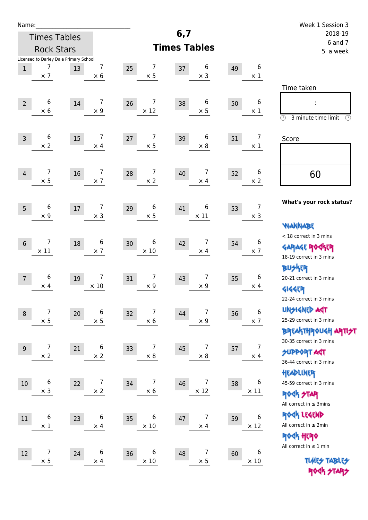| Name:           |                                                           |        |                                |                                    |                                     |    |                              | Week 1 Session 3                                                                                |
|-----------------|-----------------------------------------------------------|--------|--------------------------------|------------------------------------|-------------------------------------|----|------------------------------|-------------------------------------------------------------------------------------------------|
|                 | <b>Times Tables</b>                                       |        |                                |                                    | 6,7                                 |    |                              | 2018-19                                                                                         |
|                 | <b>Rock Stars</b>                                         |        |                                |                                    | <b>Times Tables</b>                 |    |                              | 6 and 7<br>5 a week                                                                             |
| $1\,$           | Licensed to Darley Dale Primary School<br>7<br>$\times$ 7 | 13     | 7<br>$\times 6$                | 7<br>25<br>$\times$ 5              | 6<br>37<br>$\times$ 3               | 49 | 6<br>$\times$ 1              | Time taken                                                                                      |
| $\overline{2}$  | 6<br>$\times$ 6                                           | $14\,$ | 7<br>$\times$ 9                | 7<br>26<br>$\times$ 12             | 6<br>38<br>$\times$ 5               | 50 | 6<br>$\times$ 1              | t,<br>$\circledcirc$<br>3 minute time limit<br>$\mathcal{O}$                                    |
| $\overline{3}$  | 6<br>$\times 2$                                           | 15     | 7<br>$\times$ 4                | $\overline{7}$<br>27<br>$\times$ 5 | 6<br>39<br>$\times$ 8               | 51 | $\overline{7}$<br>$\times$ 1 | Score                                                                                           |
| $\overline{4}$  | 7<br>$\times$ 5                                           | 16     | 7<br>$\times$ 7                | 7<br>28<br>$\times 2$              | $\overline{7}$<br>40<br>$\times$ 4  | 52 | 6<br>$\times 2$              | 60                                                                                              |
| 5               | 6<br>$\times$ 9                                           | $17\,$ | 7<br>$\times$ 3                | 6<br>29<br>$\times$ 5              | 6<br>41<br>$\times$ 11              | 53 | 7<br>$\times$ 3              | What's your rock status?<br><b>WANNABE</b>                                                      |
| $6\phantom{1}6$ | $\overline{7}$<br>$\times$ 11                             | 18     | 6<br>$\times$ 7                | 6<br>30<br>$\times$ 10             | $\overline{7}$<br>42<br>$\times$ 4  | 54 | 6<br>$\times$ 7              | < 18 correct in 3 mins<br><b>GARAGE ROGKER</b><br>18-19 correct in 3 mins                       |
| $\overline{7}$  | 6<br>$\times$ 4                                           | 19     | 7<br>$\times$ 10               | 7<br>31<br>$\times$ 9              | $\overline{7}$<br>43<br>$\times$ 9  | 55 | 6<br>$\times$ 4              | <b>BUSKER</b><br>20-21 correct in 3 mins<br><b>4144EP</b><br>22-24 correct in 3 mins            |
| $\,8\,$         | $\overline{7}$<br>$\times$ 5                              | 20     | 6<br>$\times$ 5                | 7<br>32<br>$\times$ 6              | 7<br>44<br>$\times$ 9               | 56 | 6<br>$\times$ 7              | <b>UNSIGNED AGT</b><br>25-29 correct in 3 mins<br>ΒΡΓΑ <sup>Κ</sup> ΤΗΡΟυΚΗ ΑΡΤΙ <del>2</del> Τ |
| $9\,$           | $\overline{7}$<br>$\times$ 2                              | 21     | 6<br>$\times$ 2                | 7<br>33<br>$\times$ 8              | 7<br>45<br>$\times$ 8               | 57 | 7<br>$\times$ 4              | 30-35 correct in 3 mins<br><b>SUPPORT AST</b><br>36-44 correct in 3 mins                        |
| 10              | 6<br>$\times$ 3                                           | 22     | $\boldsymbol{7}$<br>$\times 2$ | 7<br>34<br>$\times$ 6              | $\overline{7}$<br>46<br>$\times$ 12 | 58 | 6<br>$\times$ 11             | HEADLINER<br>45-59 correct in 3 mins<br><b>ROCK STAR</b><br>All correct in $\leq$ 3mins         |
| 11              | 6<br>$\times$ 1                                           | 23     | 6<br>$\times$ 4                | 6<br>35<br>$\times$ 10             | $\overline{7}$<br>47<br>$\times$ 4  | 59 | $\,6$<br>$\times$ 12         | ROCK LEGEND<br>All correct in $\leq 2$ min<br><b>ROCK HERO</b>                                  |
| 12              | $\overline{7}$<br>$\times$ 5                              | 24     | 6<br>$\times$ 4                | 6<br>36<br>$\times$ 10             | $\overline{7}$<br>48<br>$\times$ 5  | 60 | 6<br>$\times$ 10             | All correct in $\leq 1$ min<br><b>TUARS TABLES</b><br>ROCK STARS                                |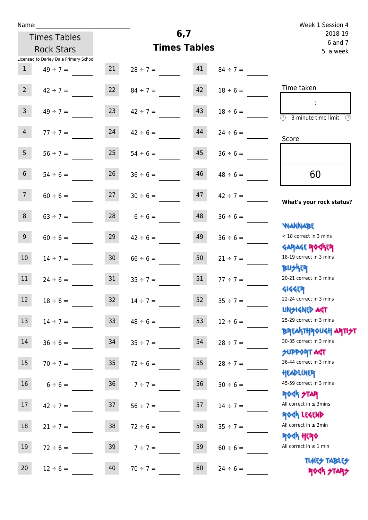|  | Name: |  |
|--|-------|--|
|  |       |  |

| Name:           |                                        |                 |                     |                    |               | Week 1 Session 4                                                 |
|-----------------|----------------------------------------|-----------------|---------------------|--------------------|---------------|------------------------------------------------------------------|
|                 | <b>Times Tables</b>                    |                 | 6,7                 | 2018-19<br>6 and 7 |               |                                                                  |
|                 | <b>Rock Stars</b>                      |                 | <b>Times Tables</b> |                    |               | 5 a week                                                         |
|                 | Licensed to Darley Dale Primary School |                 |                     |                    |               |                                                                  |
| 1               | $49 \div 7 =$                          | 21              | $28 \div 7 = 41$    |                    | $84 \div 7 =$ |                                                                  |
| $2^{\circ}$     | $42 \div 7 =$                          | 22              | $84 \div 7 =$       | 42                 | $18 \div 6 =$ | Time taken                                                       |
| 3 <sup>7</sup>  | $49 \div 7 =$                          | 23              | $42 \div 7 =$       | 43                 | $18 \div 6 =$ | - 11<br>3 minute time limit<br>$\mathcal{O}$                     |
| 4               | $77 \div 7 =$                          | 24              | $42 \div 6 =$       | 44                 | $24 \div 6 =$ | Score                                                            |
| 5 <sub>1</sub>  | $56 \div 7 =$                          | 25              | $54 \div 6 =$       | 45                 | $36 \div 6 =$ |                                                                  |
| 6 <sup>1</sup>  | $54 \div 6 =$                          | 26              | $36 \div 6 =$       | 46                 | $48 \div 6 =$ | 60                                                               |
| 7 <sup>7</sup>  | $60 \div 6 =$                          |                 | $27 \t 30 \div 6 =$ | 47                 | $42 \div 7 =$ | What's your rock status?                                         |
| 8               | $63 \div 7 =$                          |                 | $28$ $6 \div 6 =$   | 48                 | $36 \div 6 =$ | <b>JARNARY</b>                                                   |
| 9 <sub>o</sub>  | $60 \div 6 =$                          | 29              | $42 \div 6 =$       | 49                 | $36 \div 6 =$ | < 18 correct in 3 mins<br><b>GARAGE ROCKER</b>                   |
| 10 <sup>°</sup> | $14 \div 7 =$                          | 30 <sub>1</sub> | $66 \div 6 =$       | 50                 | $21 \div 7 =$ | 18-19 correct in 3 mins<br><b>BU外四</b>                           |
| 11              | $24 \div 6 = 31$                       |                 | $35 \div 7 =$       | 51                 | $77 \div 7 =$ | 20-21 correct in 3 mins<br><b>4144EP</b>                         |
| 12              | $18 \div 6 =$                          | 32              | $14 \div 7 =$       | 52                 | $35 ÷ 7 =$    | 22-24 correct in 3 mins<br><b>UNSIGNED AGT</b>                   |
| 13              | $14 \div 7 =$                          | 33 <sup>°</sup> | $48 \div 6 =$       | 53                 | $12 \div 6 =$ | 25-29 correct in 3 mins<br><b>BREAKTHROUGH ARTI<del>S</del>T</b> |
| 14              | $36 \div 6 =$                          | 34              | $35 \div 7 =$       | 54                 | $28 \div 7 =$ | 30-35 correct in 3 mins<br><b>SUPPORT ART</b>                    |
| 15 <sub>1</sub> | $70 \div 7 =$                          | 35 <sub>1</sub> | $72 \div 6 =$       | 55                 | $28 \div 7 =$ | 36-44 correct in 3 mins<br>HEADLINER                             |
| 16 <sup>1</sup> | $6 \div 6 =$                           | 36              | $7 ÷ 7 =$           | 56                 | $30 \div 6 =$ | 45-59 correct in 3 mins<br><b>ROCK STAR</b>                      |
| 17              | $42 \div 7 =$                          | 37              | $56 \div 7 =$       | 57                 | $14 \div 7 =$ | All correct in $\leq$ 3mins<br>ROCK LEGEND                       |
| 18              | $21 \div 7 =$                          | 38              | $72 \div 6 =$       | 58                 | $35 \div 7 =$ | All correct in $\leq 2$ min<br><b>ROGH HERO</b>                  |
| 19              | $72 \div 6 =$                          | 39              | $7 ÷ 7 =$           | 59                 | $60 \div 6 =$ | All correct in $\leq 1$ min<br><b>TUARS TABLES</b>               |
| 20              | $12 \div 6 =$                          | 40              | $70 \div 7 =$       | 60                 | $24 \div 6 =$ | ROCK STARS                                                       |